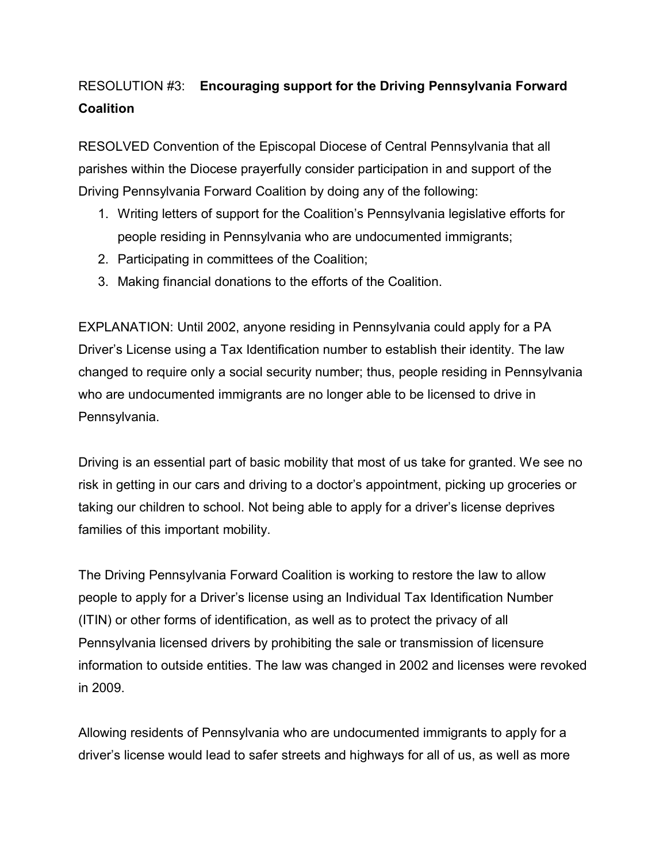## RESOLUTION #3: **Encouraging support for the Driving Pennsylvania Forward Coalition**

RESOLVED Convention of the Episcopal Diocese of Central Pennsylvania that all parishes within the Diocese prayerfully consider participation in and support of the Driving Pennsylvania Forward Coalition by doing any of the following:

- 1. Writing letters of support for the Coalition's Pennsylvania legislative efforts for people residing in Pennsylvania who are undocumented immigrants;
- 2. Participating in committees of the Coalition;
- 3. Making financial donations to the efforts of the Coalition.

EXPLANATION: Until 2002, anyone residing in Pennsylvania could apply for a PA Driver's License using a Tax Identification number to establish their identity. The law changed to require only a social security number; thus, people residing in Pennsylvania who are undocumented immigrants are no longer able to be licensed to drive in Pennsylvania.

Driving is an essential part of basic mobility that most of us take for granted. We see no risk in getting in our cars and driving to a doctor's appointment, picking up groceries or taking our children to school. Not being able to apply for a driver's license deprives families of this important mobility.

The Driving Pennsylvania Forward Coalition is working to restore the law to allow people to apply for a Driver's license using an Individual Tax Identification Number (ITIN) or other forms of identification, as well as to protect the privacy of all Pennsylvania licensed drivers by prohibiting the sale or transmission of licensure information to outside entities. The law was changed in 2002 and licenses were revoked in 2009.

Allowing residents of Pennsylvania who are undocumented immigrants to apply for a driver's license would lead to safer streets and highways for all of us, as well as more